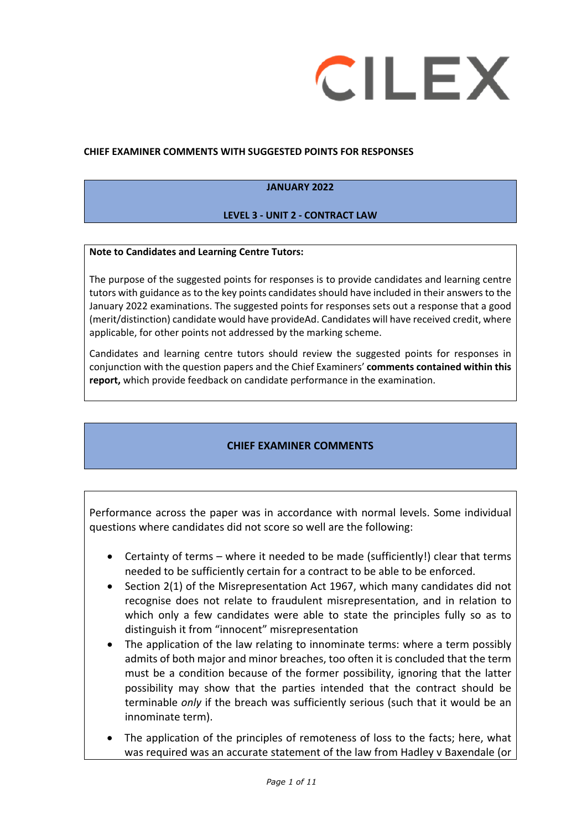

#### **CHIEF EXAMINER COMMENTS WITH SUGGESTED POINTS FOR RESPONSES**

#### **JANUARY 2022**

#### **LEVEL 3 - UNIT 2 - CONTRACT LAW**

#### **Note to Candidates and Learning Centre Tutors:**

The purpose of the suggested points for responses is to provide candidates and learning centre tutors with guidance as to the key points candidates should have included in their answers to the January 2022 examinations. The suggested points for responses sets out a response that a good (merit/distinction) candidate would have provideAd. Candidates will have received credit, where applicable, for other points not addressed by the marking scheme.

Candidates and learning centre tutors should review the suggested points for responses in conjunction with the question papers and the Chief Examiners' **comments contained within this report,** which provide feedback on candidate performance in the examination.

#### **CHIEF EXAMINER COMMENTS**

Performance across the paper was in accordance with normal levels. Some individual questions where candidates did not score so well are the following:

- Certainty of terms where it needed to be made (sufficiently!) clear that terms needed to be sufficiently certain for a contract to be able to be enforced.
- Section 2(1) of the Misrepresentation Act 1967, which many candidates did not recognise does not relate to fraudulent misrepresentation, and in relation to which only a few candidates were able to state the principles fully so as to distinguish it from "innocent" misrepresentation
- The application of the law relating to innominate terms: where a term possibly admits of both major and minor breaches, too often it is concluded that the term must be a condition because of the former possibility, ignoring that the latter possibility may show that the parties intended that the contract should be terminable *only* if the breach was sufficiently serious (such that it would be an innominate term).
- The application of the principles of remoteness of loss to the facts; here, what was required was an accurate statement of the law from Hadley v Baxendale (or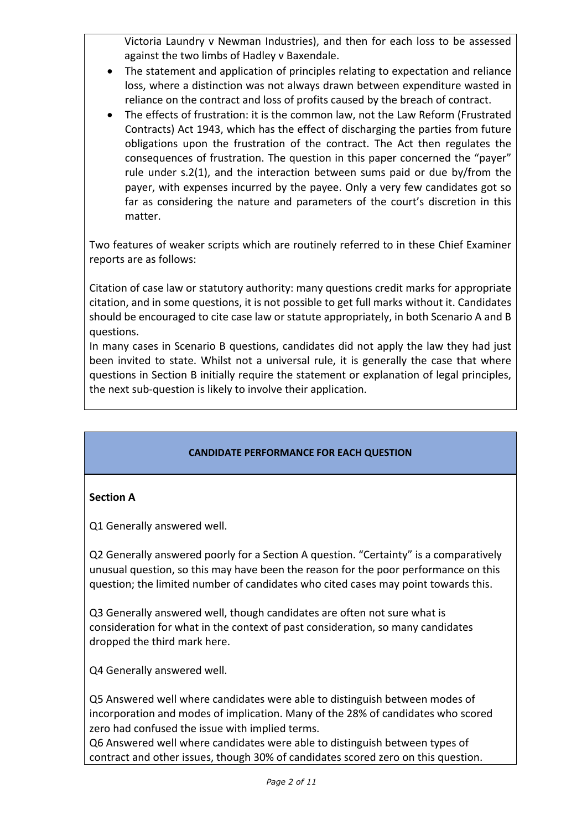Victoria Laundry v Newman Industries), and then for each loss to be assessed against the two limbs of Hadley v Baxendale.

- The statement and application of principles relating to expectation and reliance loss, where a distinction was not always drawn between expenditure wasted in reliance on the contract and loss of profits caused by the breach of contract.
- The effects of frustration: it is the common law, not the Law Reform (Frustrated Contracts) Act 1943, which has the effect of discharging the parties from future obligations upon the frustration of the contract. The Act then regulates the consequences of frustration. The question in this paper concerned the "payer" rule under s.2(1), and the interaction between sums paid or due by/from the payer, with expenses incurred by the payee. Only a very few candidates got so far as considering the nature and parameters of the court's discretion in this matter.

Two features of weaker scripts which are routinely referred to in these Chief Examiner reports are as follows:

Citation of case law or statutory authority: many questions credit marks for appropriate citation, and in some questions, it is not possible to get full marks without it. Candidates should be encouraged to cite case law or statute appropriately, in both Scenario A and B questions.

In many cases in Scenario B questions, candidates did not apply the law they had just been invited to state. Whilst not a universal rule, it is generally the case that where questions in Section B initially require the statement or explanation of legal principles, the next sub-question is likely to involve their application.

#### **CANDIDATE PERFORMANCE FOR EACH QUESTION**

#### **Section A**

Q1 Generally answered well.

Q2 Generally answered poorly for a Section A question. "Certainty" is a comparatively unusual question, so this may have been the reason for the poor performance on this question; the limited number of candidates who cited cases may point towards this.

Q3 Generally answered well, though candidates are often not sure what is consideration for what in the context of past consideration, so many candidates dropped the third mark here.

Q4 Generally answered well.

Q5 Answered well where candidates were able to distinguish between modes of incorporation and modes of implication. Many of the 28% of candidates who scored zero had confused the issue with implied terms.

Q6 Answered well where candidates were able to distinguish between types of contract and other issues, though 30% of candidates scored zero on this question.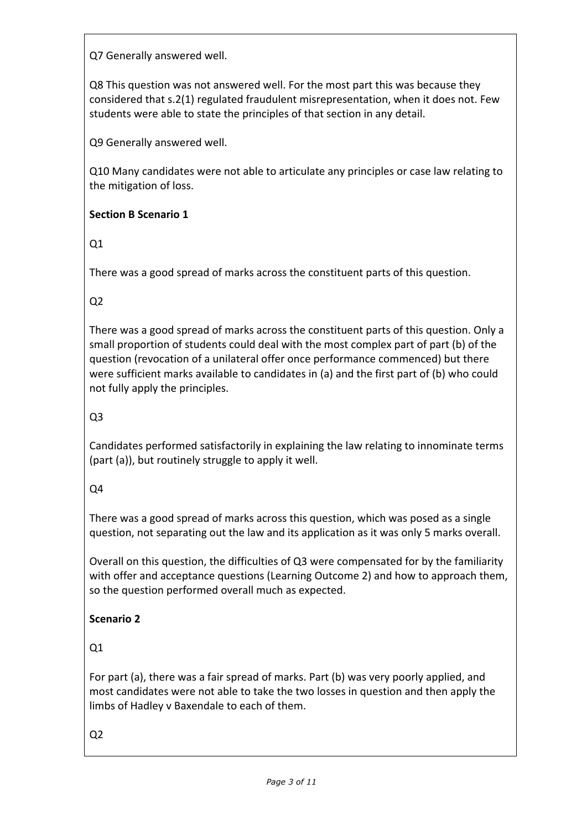Q7 Generally answered well.

Q8 This question was not answered well. For the most part this was because they considered that s.2(1) regulated fraudulent misrepresentation, when it does not. Few students were able to state the principles of that section in any detail.

Q9 Generally answered well.

Q10 Many candidates were not able to articulate any principles or case law relating to the mitigation of loss.

### **Section B Scenario 1**

Q1

There was a good spread of marks across the constituent parts of this question.

Q2

There was a good spread of marks across the constituent parts of this question. Only a small proportion of students could deal with the most complex part of part (b) of the question (revocation of a unilateral offer once performance commenced) but there were sufficient marks available to candidates in (a) and the first part of (b) who could not fully apply the principles.

Q3

Candidates performed satisfactorily in explaining the law relating to innominate terms (part (a)), but routinely struggle to apply it well.

Q4

There was a good spread of marks across this question, which was posed as a single question, not separating out the law and its application as it was only 5 marks overall.

Overall on this question, the difficulties of Q3 were compensated for by the familiarity with offer and acceptance questions (Learning Outcome 2) and how to approach them, so the question performed overall much as expected.

# **Scenario 2**

 $Q1$ 

For part (a), there was a fair spread of marks. Part (b) was very poorly applied, and most candidates were not able to take the two losses in question and then apply the limbs of Hadley v Baxendale to each of them.

Q2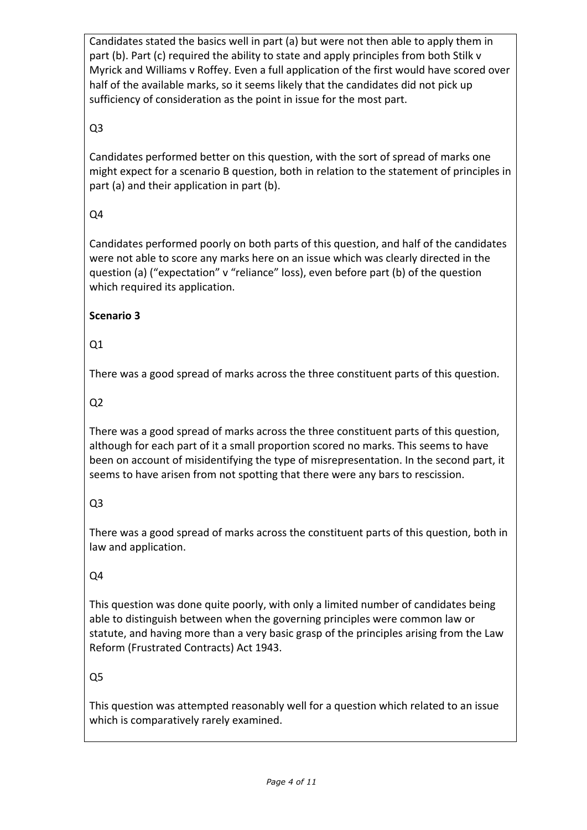Candidates stated the basics well in part (a) but were not then able to apply them in part (b). Part (c) required the ability to state and apply principles from both Stilk v Myrick and Williams v Roffey. Even a full application of the first would have scored over half of the available marks, so it seems likely that the candidates did not pick up sufficiency of consideration as the point in issue for the most part.

### Q3

Candidates performed better on this question, with the sort of spread of marks one might expect for a scenario B question, both in relation to the statement of principles in part (a) and their application in part (b).

# Q4

Candidates performed poorly on both parts of this question, and half of the candidates were not able to score any marks here on an issue which was clearly directed in the question (a) ("expectation" v "reliance" loss), even before part (b) of the question which required its application.

### **Scenario 3**

# Q1

There was a good spread of marks across the three constituent parts of this question.

# Q2

There was a good spread of marks across the three constituent parts of this question, although for each part of it a small proportion scored no marks. This seems to have been on account of misidentifying the type of misrepresentation. In the second part, it seems to have arisen from not spotting that there were any bars to rescission.

# Q3

There was a good spread of marks across the constituent parts of this question, both in law and application.

# Q4

This question was done quite poorly, with only a limited number of candidates being able to distinguish between when the governing principles were common law or statute, and having more than a very basic grasp of the principles arising from the Law Reform (Frustrated Contracts) Act 1943.

# Q5

This question was attempted reasonably well for a question which related to an issue which is comparatively rarely examined.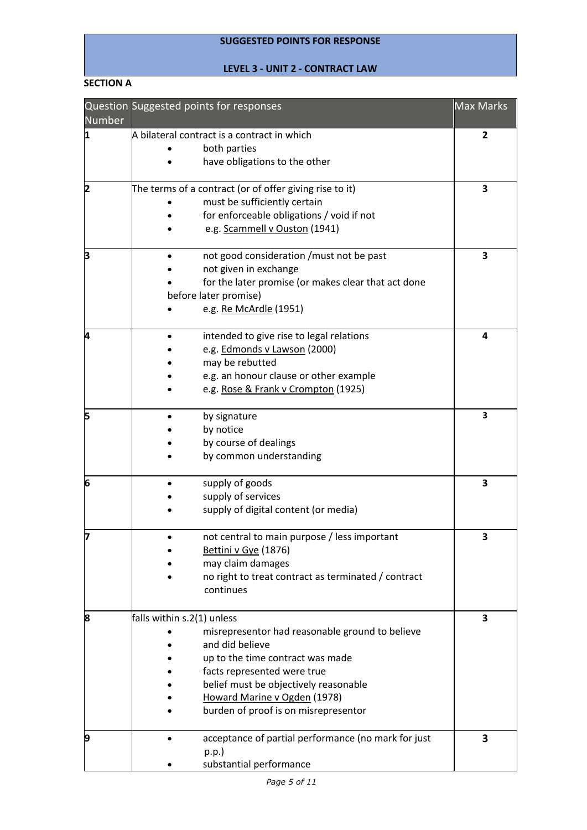#### **SUGGESTED POINTS FOR RESPONSE**

#### **LEVEL 3 - UNIT 2 - CONTRACT LAW**

#### **SECTION A**

| Number | Question Suggested points for responses                 | <b>Max Marks</b> |
|--------|---------------------------------------------------------|------------------|
| 11     | A bilateral contract is a contract in which             | 2                |
|        | both parties                                            |                  |
|        | have obligations to the other                           |                  |
| 2      | The terms of a contract (or of offer giving rise to it) | 3                |
|        | must be sufficiently certain                            |                  |
|        | for enforceable obligations / void if not               |                  |
|        | e.g. Scammell v Ouston (1941)                           |                  |
| В      | not good consideration / must not be past               | 3                |
|        | not given in exchange                                   |                  |
|        | for the later promise (or makes clear that act done     |                  |
|        | before later promise)                                   |                  |
|        | e.g. Re McArdle (1951)                                  |                  |
| 4      | intended to give rise to legal relations                | 4                |
|        | e.g. Edmonds v Lawson (2000)                            |                  |
|        | may be rebutted                                         |                  |
|        | e.g. an honour clause or other example                  |                  |
|        | e.g. Rose & Frank v Crompton (1925)                     |                  |
| 5      | by signature                                            | 3                |
|        | by notice                                               |                  |
|        | by course of dealings                                   |                  |
|        | by common understanding                                 |                  |
| 6      | supply of goods                                         | 3                |
|        | supply of services                                      |                  |
|        | supply of digital content (or media)                    |                  |
| 17     | not central to main purpose / less important            | 3                |
|        | Bettini v Gye (1876)                                    |                  |
|        | may claim damages                                       |                  |
|        | no right to treat contract as terminated / contract     |                  |
|        | continues                                               |                  |
| 8      | falls within s.2(1) unless                              | 3                |
|        | misrepresentor had reasonable ground to believe         |                  |
|        | and did believe                                         |                  |
|        | up to the time contract was made                        |                  |
|        | facts represented were true                             |                  |
|        | belief must be objectively reasonable                   |                  |
|        | Howard Marine v Ogden (1978)                            |                  |
|        | burden of proof is on misrepresentor                    |                  |
| 9      | acceptance of partial performance (no mark for just     | 3                |
|        | p.p.                                                    |                  |
|        | substantial performance                                 |                  |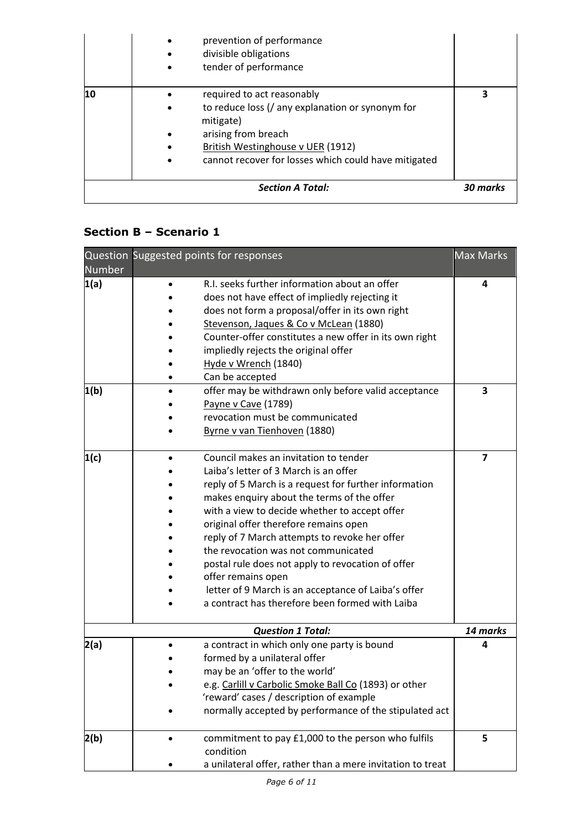|                         | prevention of performance<br>divisible obligations<br>tender of performance                                                                                                                                                  |  |
|-------------------------|------------------------------------------------------------------------------------------------------------------------------------------------------------------------------------------------------------------------------|--|
| 10                      | required to act reasonably<br>to reduce loss (/ any explanation or synonym for<br>$\bullet$<br>mitigate)<br>arising from breach<br>British Westinghouse v UER (1912)<br>cannot recover for losses which could have mitigated |  |
| <b>Section A Total:</b> |                                                                                                                                                                                                                              |  |

# **Section B – Scenario 1**

| Number | Question Suggested points for responses                                                                                                                                                                                                                                                                                                                                                                                                                                                                                                                      | <b>Max Marks</b>        |
|--------|--------------------------------------------------------------------------------------------------------------------------------------------------------------------------------------------------------------------------------------------------------------------------------------------------------------------------------------------------------------------------------------------------------------------------------------------------------------------------------------------------------------------------------------------------------------|-------------------------|
| 1(a)   | R.I. seeks further information about an offer<br>does not have effect of impliedly rejecting it<br>does not form a proposal/offer in its own right<br>Stevenson, Jaques & Co v McLean (1880)<br>Counter-offer constitutes a new offer in its own right<br>impliedly rejects the original offer<br>Hyde v Wrench (1840)<br>Can be accepted                                                                                                                                                                                                                    | 4                       |
| 1(b)   | offer may be withdrawn only before valid acceptance<br>Payne v Cave (1789)<br>revocation must be communicated<br>Byrne v van Tienhoven (1880)                                                                                                                                                                                                                                                                                                                                                                                                                | 3                       |
| 1(c)   | Council makes an invitation to tender<br>Laiba's letter of 3 March is an offer<br>reply of 5 March is a request for further information<br>makes enquiry about the terms of the offer<br>with a view to decide whether to accept offer<br>original offer therefore remains open<br>reply of 7 March attempts to revoke her offer<br>the revocation was not communicated<br>postal rule does not apply to revocation of offer<br>offer remains open<br>letter of 9 March is an acceptance of Laiba's offer<br>a contract has therefore been formed with Laiba | $\overline{\mathbf{z}}$ |
|        | <b>Question 1 Total:</b>                                                                                                                                                                                                                                                                                                                                                                                                                                                                                                                                     | 14 marks                |
| 2(a)   | a contract in which only one party is bound<br>formed by a unilateral offer<br>may be an 'offer to the world'<br>e.g. Carlill v Carbolic Smoke Ball Co (1893) or other<br>'reward' cases / description of example<br>normally accepted by performance of the stipulated act                                                                                                                                                                                                                                                                                  | 4                       |
| 2(b)   | commitment to pay £1,000 to the person who fulfils<br>condition<br>a unilateral offer, rather than a mere invitation to treat                                                                                                                                                                                                                                                                                                                                                                                                                                | 5                       |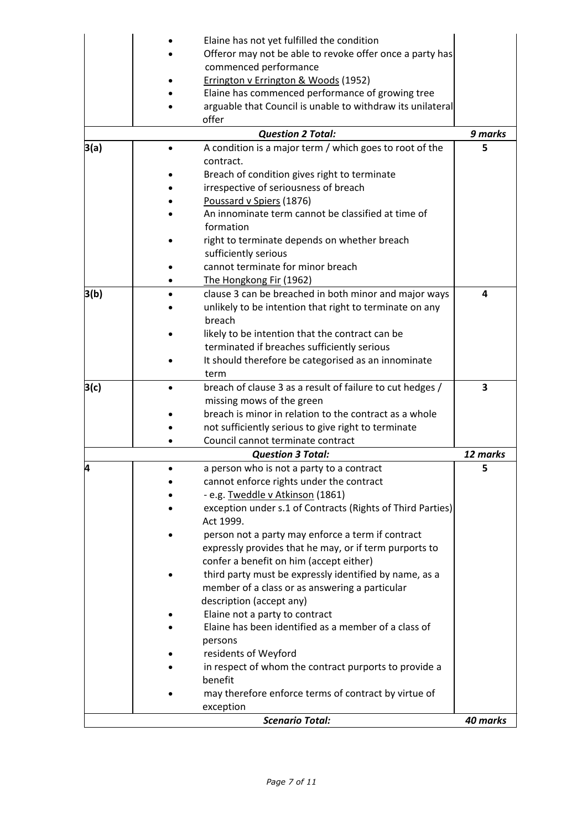|      | Elaine has not yet fulfilled the condition                 |          |
|------|------------------------------------------------------------|----------|
|      | Offeror may not be able to revoke offer once a party has   |          |
|      | commenced performance                                      |          |
|      | Errington v Errington & Woods (1952)                       |          |
|      | Elaine has commenced performance of growing tree           |          |
|      | arguable that Council is unable to withdraw its unilateral |          |
|      | offer                                                      |          |
|      | <b>Question 2 Total:</b>                                   | 9 marks  |
| 3(a) | A condition is a major term / which goes to root of the    | 5        |
|      | contract.                                                  |          |
|      | Breach of condition gives right to terminate               |          |
|      | irrespective of seriousness of breach                      |          |
|      | Poussard v Spiers (1876)                                   |          |
|      | An innominate term cannot be classified at time of         |          |
|      | formation                                                  |          |
|      | right to terminate depends on whether breach               |          |
|      | sufficiently serious                                       |          |
|      | cannot terminate for minor breach                          |          |
|      | The Hongkong Fir (1962)                                    |          |
| 3(b) | clause 3 can be breached in both minor and major ways      | 4        |
|      | unlikely to be intention that right to terminate on any    |          |
|      | breach                                                     |          |
|      | likely to be intention that the contract can be            |          |
|      | terminated if breaches sufficiently serious                |          |
|      | It should therefore be categorised as an innominate        |          |
|      | term                                                       |          |
| 3(c) | breach of clause 3 as a result of failure to cut hedges /  | 3        |
|      | missing mows of the green                                  |          |
|      | breach is minor in relation to the contract as a whole     |          |
|      | not sufficiently serious to give right to terminate        |          |
|      | Council cannot terminate contract                          |          |
|      | <b>Question 3 Total:</b>                                   | 12 marks |
| 4    | a person who is not a party to a contract                  | 5        |
|      | cannot enforce rights under the contract                   |          |
|      | - e.g. Tweddle v Atkinson (1861)                           |          |
|      | exception under s.1 of Contracts (Rights of Third Parties) |          |
|      | Act 1999.                                                  |          |
|      | person not a party may enforce a term if contract          |          |
|      | expressly provides that he may, or if term purports to     |          |
|      | confer a benefit on him (accept either)                    |          |
|      | third party must be expressly identified by name, as a     |          |
|      | member of a class or as answering a particular             |          |
|      | description (accept any)                                   |          |
|      | Elaine not a party to contract                             |          |
|      | Elaine has been identified as a member of a class of       |          |
|      | persons                                                    |          |
|      | residents of Weyford                                       |          |
|      | in respect of whom the contract purports to provide a      |          |
|      | benefit                                                    |          |
|      | may therefore enforce terms of contract by virtue of       |          |
|      | exception                                                  |          |
|      | <b>Scenario Total:</b>                                     | 40 marks |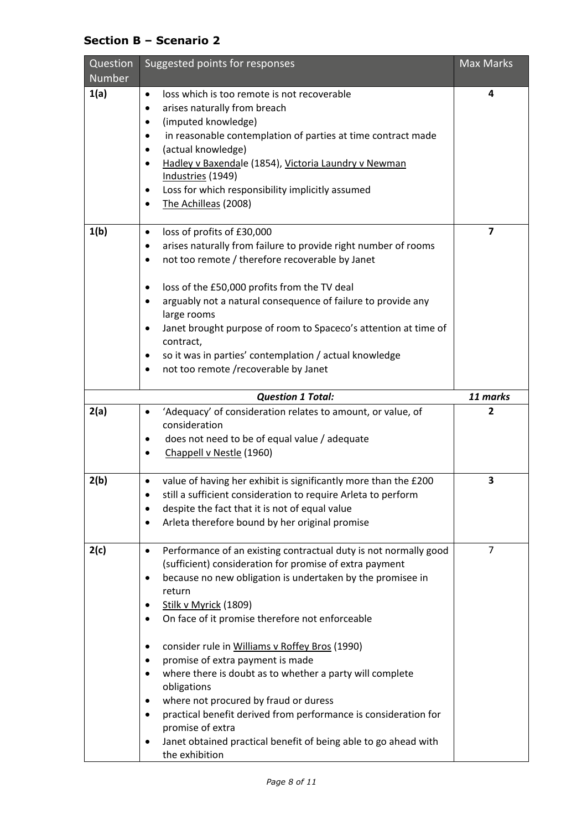# **Section B – Scenario 2**

| Question<br><b>Number</b> | Suggested points for responses                                                                                                                                                                                                                                                                                                                                                                                                                                                                                                                                                                                                                                                                                 | Max Marks |
|---------------------------|----------------------------------------------------------------------------------------------------------------------------------------------------------------------------------------------------------------------------------------------------------------------------------------------------------------------------------------------------------------------------------------------------------------------------------------------------------------------------------------------------------------------------------------------------------------------------------------------------------------------------------------------------------------------------------------------------------------|-----------|
| 1(a)                      | loss which is too remote is not recoverable<br>$\bullet$<br>arises naturally from breach<br>$\bullet$<br>(imputed knowledge)<br>٠<br>in reasonable contemplation of parties at time contract made<br>٠<br>(actual knowledge)<br>٠<br>Hadley v Baxendale (1854), Victoria Laundry v Newman<br>٠<br>Industries (1949)<br>Loss for which responsibility implicitly assumed<br>٠<br>The Achilleas (2008)<br>$\bullet$                                                                                                                                                                                                                                                                                              | 4         |
| 1(b)                      | loss of profits of £30,000<br>$\bullet$<br>arises naturally from failure to provide right number of rooms<br>not too remote / therefore recoverable by Janet<br>٠<br>loss of the £50,000 profits from the TV deal<br>٠<br>arguably not a natural consequence of failure to provide any<br>٠<br>large rooms<br>Janet brought purpose of room to Spaceco's attention at time of<br>$\bullet$<br>contract,<br>so it was in parties' contemplation / actual knowledge<br>٠<br>not too remote /recoverable by Janet<br>٠                                                                                                                                                                                            | 7         |
|                           | <b>Question 1 Total:</b>                                                                                                                                                                                                                                                                                                                                                                                                                                                                                                                                                                                                                                                                                       | 11 marks  |
| 2(a)                      | 'Adequacy' of consideration relates to amount, or value, of<br>$\bullet$<br>consideration<br>does not need to be of equal value / adequate<br>Chappell v Nestle (1960)                                                                                                                                                                                                                                                                                                                                                                                                                                                                                                                                         | 2         |
| 2(b)                      | value of having her exhibit is significantly more than the £200<br>still a sufficient consideration to require Arleta to perform<br>despite the fact that it is not of equal value<br>Arleta therefore bound by her original promise                                                                                                                                                                                                                                                                                                                                                                                                                                                                           | 3         |
| 2(c)                      | Performance of an existing contractual duty is not normally good<br>$\bullet$<br>(sufficient) consideration for promise of extra payment<br>because no new obligation is undertaken by the promisee in<br>٠<br>return<br>Stilk v Myrick (1809)<br>On face of it promise therefore not enforceable<br>consider rule in Williams v Roffey Bros (1990)<br>promise of extra payment is made<br>٠<br>where there is doubt as to whether a party will complete<br>$\bullet$<br>obligations<br>where not procured by fraud or duress<br>٠<br>practical benefit derived from performance is consideration for<br>promise of extra<br>Janet obtained practical benefit of being able to go ahead with<br>the exhibition | 7         |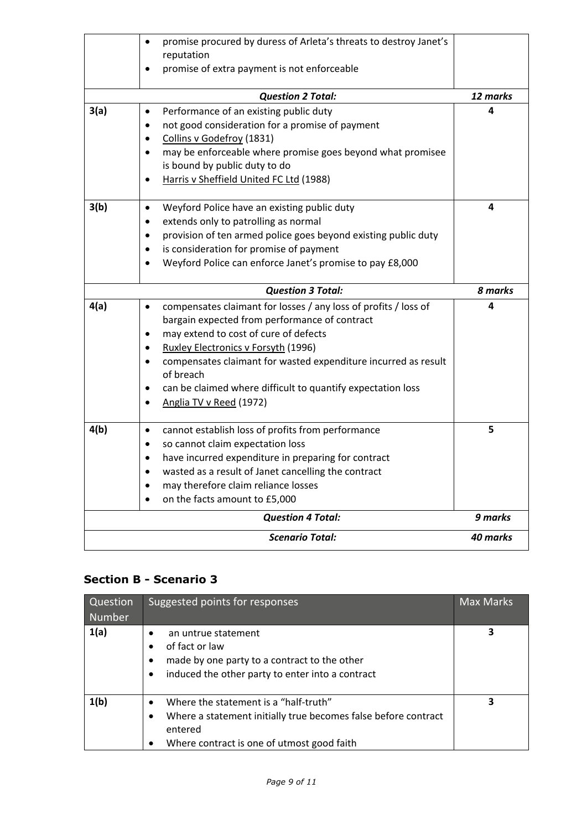|                        | promise procured by duress of Arleta's threats to destroy Janet's<br>$\bullet$<br>reputation<br>promise of extra payment is not enforceable<br>$\bullet$ |          |
|------------------------|----------------------------------------------------------------------------------------------------------------------------------------------------------|----------|
|                        |                                                                                                                                                          |          |
|                        | <b>Question 2 Total:</b>                                                                                                                                 | 12 marks |
| 3(a)                   | Performance of an existing public duty<br>$\bullet$                                                                                                      | 4        |
|                        | not good consideration for a promise of payment<br>$\bullet$                                                                                             |          |
|                        | Collins v Godefroy (1831)<br>$\bullet$                                                                                                                   |          |
|                        | may be enforceable where promise goes beyond what promisee<br>$\bullet$                                                                                  |          |
|                        | is bound by public duty to do                                                                                                                            |          |
|                        | Harris v Sheffield United FC Ltd (1988)<br>$\bullet$                                                                                                     |          |
| 3(b)                   | Weyford Police have an existing public duty<br>$\bullet$                                                                                                 | 4        |
|                        | extends only to patrolling as normal<br>$\bullet$                                                                                                        |          |
|                        | provision of ten armed police goes beyond existing public duty<br>$\bullet$                                                                              |          |
|                        | is consideration for promise of payment                                                                                                                  |          |
|                        | Weyford Police can enforce Janet's promise to pay £8,000                                                                                                 |          |
|                        | <b>Question 3 Total:</b>                                                                                                                                 | 8 marks  |
| 4(a)                   | compensates claimant for losses / any loss of profits / loss of<br>$\bullet$                                                                             | 4        |
|                        | bargain expected from performance of contract                                                                                                            |          |
|                        | may extend to cost of cure of defects                                                                                                                    |          |
|                        | Ruxley Electronics v Forsyth (1996)                                                                                                                      |          |
|                        | compensates claimant for wasted expenditure incurred as result<br>of breach                                                                              |          |
|                        | can be claimed where difficult to quantify expectation loss<br>$\bullet$                                                                                 |          |
|                        | Anglia TV v Reed (1972)                                                                                                                                  |          |
| 4(b)                   | cannot establish loss of profits from performance<br>$\bullet$                                                                                           | 5        |
|                        | so cannot claim expectation loss<br>$\bullet$                                                                                                            |          |
|                        | have incurred expenditure in preparing for contract                                                                                                      |          |
|                        | wasted as a result of Janet cancelling the contract                                                                                                      |          |
|                        | may therefore claim reliance losses<br>$\bullet$                                                                                                         |          |
|                        | on the facts amount to £5,000<br>$\bullet$                                                                                                               |          |
|                        | <b>Question 4 Total:</b>                                                                                                                                 | 9 marks  |
| <b>Scenario Total:</b> |                                                                                                                                                          |          |

# **Section B - Scenario 3**

| Question<br><b>Number</b> | Suggested points for responses                                                                                                                                                                          | <b>Max Marks</b> |
|---------------------------|---------------------------------------------------------------------------------------------------------------------------------------------------------------------------------------------------------|------------------|
| 1(a)                      | an untrue statement<br>$\bullet$<br>of fact or law<br>$\bullet$<br>made by one party to a contract to the other<br>$\bullet$<br>induced the other party to enter into a contract<br>$\bullet$           | 3                |
| 1(b)                      | Where the statement is a "half-truth"<br>$\bullet$<br>Where a statement initially true becomes false before contract<br>$\bullet$<br>entered<br>Where contract is one of utmost good faith<br>$\bullet$ | 3                |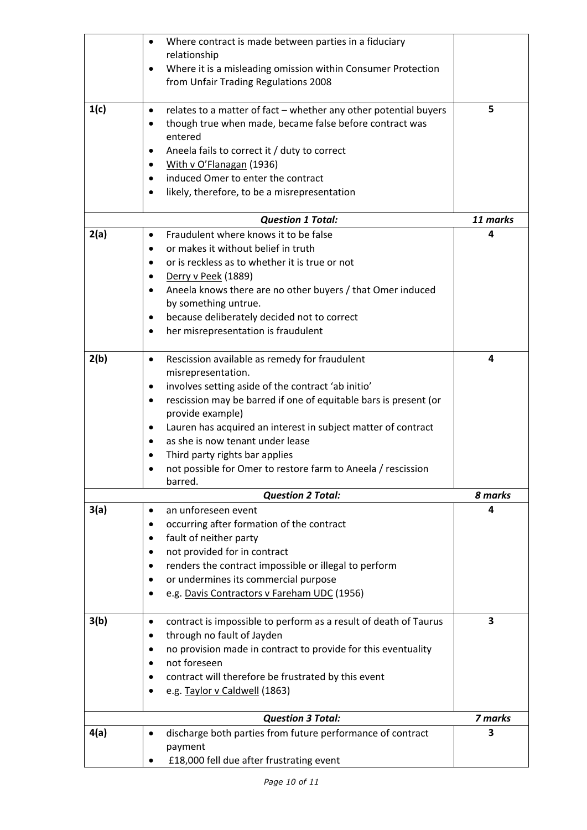|      | $\bullet$ | Where contract is made between parties in a fiduciary                   |          |
|------|-----------|-------------------------------------------------------------------------|----------|
|      |           | relationship                                                            |          |
|      | $\bullet$ | Where it is a misleading omission within Consumer Protection            |          |
|      |           | from Unfair Trading Regulations 2008                                    |          |
| 1(c) | $\bullet$ | relates to a matter of fact - whether any other potential buyers        | 5        |
|      | ٠         | though true when made, became false before contract was                 |          |
|      |           | entered                                                                 |          |
|      | ٠         | Aneela fails to correct it / duty to correct                            |          |
|      | $\bullet$ | With v O'Flanagan (1936)                                                |          |
|      | $\bullet$ | induced Omer to enter the contract                                      |          |
|      | ٠         | likely, therefore, to be a misrepresentation                            |          |
|      |           | <b>Question 1 Total:</b>                                                | 11 marks |
| 2(a) | $\bullet$ | Fraudulent where knows it to be false                                   | 4        |
|      | $\bullet$ | or makes it without belief in truth                                     |          |
|      |           | or is reckless as to whether it is true or not                          |          |
|      | ٠         | Derry v Peek (1889)                                                     |          |
|      | $\bullet$ | Aneela knows there are no other buyers / that Omer induced              |          |
|      |           | by something untrue.                                                    |          |
|      | $\bullet$ | because deliberately decided not to correct                             |          |
|      | ٠         | her misrepresentation is fraudulent                                     |          |
| 2(b) | $\bullet$ | Rescission available as remedy for fraudulent                           | 4        |
|      |           | misrepresentation.                                                      |          |
|      | ٠         | involves setting aside of the contract 'ab initio'                      |          |
|      | ٠         | rescission may be barred if one of equitable bars is present (or        |          |
|      |           | provide example)                                                        |          |
|      | ٠         | Lauren has acquired an interest in subject matter of contract           |          |
|      | $\bullet$ | as she is now tenant under lease                                        |          |
|      |           | Third party rights bar applies                                          |          |
|      |           | not possible for Omer to restore farm to Aneela / rescission<br>barred. |          |
|      |           | <b>Question 2 Total:</b>                                                | 8 marks  |
| 3(a) | $\bullet$ | an unforeseen event                                                     | 4        |
|      | ٠         | occurring after formation of the contract                               |          |
|      | ٠         | fault of neither party                                                  |          |
|      | ٠         | not provided for in contract                                            |          |
|      | ٠         | renders the contract impossible or illegal to perform                   |          |
|      | $\bullet$ | or undermines its commercial purpose                                    |          |
|      |           | e.g. Davis Contractors v Fareham UDC (1956)                             |          |
| 3(b) | $\bullet$ | contract is impossible to perform as a result of death of Taurus        | 3        |
|      | ٠         | through no fault of Jayden                                              |          |
|      | $\bullet$ | no provision made in contract to provide for this eventuality           |          |
|      | ٠         | not foreseen                                                            |          |
|      |           | contract will therefore be frustrated by this event                     |          |
|      | $\bullet$ | e.g. Taylor v Caldwell (1863)                                           |          |
|      |           | <b>Question 3 Total:</b>                                                | 7 marks  |
| 4(a) | $\bullet$ | discharge both parties from future performance of contract<br>payment   | 3        |
|      |           | £18,000 fell due after frustrating event                                |          |
|      |           |                                                                         |          |